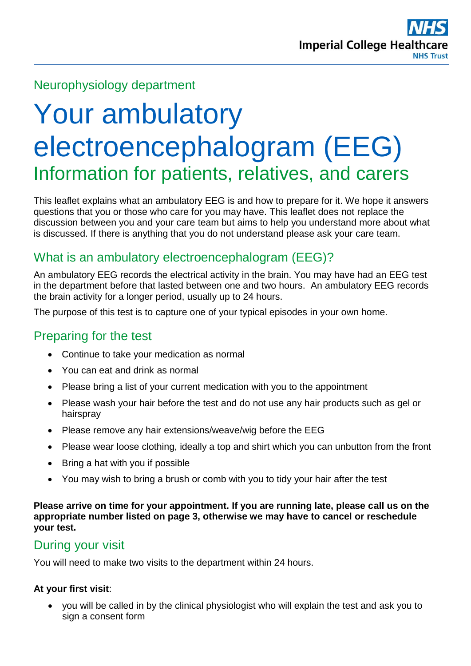# Neurophysiology department

# Your ambulatory electroencephalogram (EEG) Information for patients, relatives, and carers

This leaflet explains what an ambulatory EEG is and how to prepare for it. We hope it answers questions that you or those who care for you may have. This leaflet does not replace the discussion between you and your care team but aims to help you understand more about what is discussed. If there is anything that you do not understand please ask your care team.

# What is an ambulatory electroencephalogram (EEG)?

An ambulatory EEG records the electrical activity in the brain. You may have had an EEG test in the department before that lasted between one and two hours. An ambulatory EEG records the brain activity for a longer period, usually up to 24 hours.

The purpose of this test is to capture one of your typical episodes in your own home.

## Preparing for the test

- Continue to take your medication as normal
- You can eat and drink as normal
- Please bring a list of your current medication with you to the appointment
- Please wash your hair before the test and do not use any hair products such as gel or hairspray
- Please remove any hair extensions/weave/wig before the EEG
- Please wear loose clothing, ideally a top and shirt which you can unbutton from the front
- Bring a hat with you if possible
- You may wish to bring a brush or comb with you to tidy your hair after the test

**Please arrive on time for your appointment. If you are running late, please call us on the appropriate number listed on page 3, otherwise we may have to cancel or reschedule your test.** 

## During your visit

You will need to make two visits to the department within 24 hours.

#### **At your first visit**:

 you will be called in by the clinical physiologist who will explain the test and ask you to sign a consent form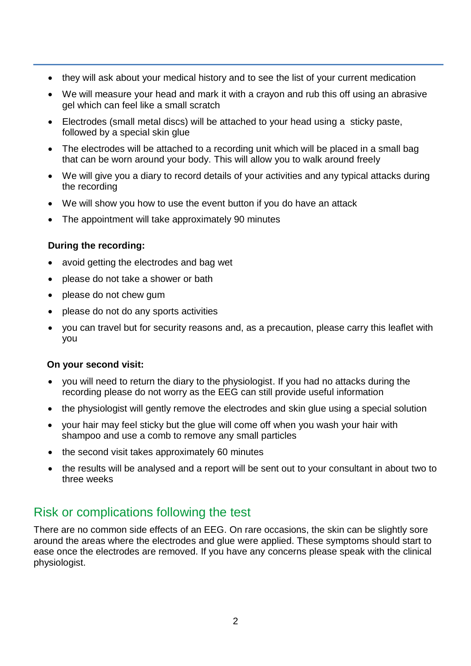- they will ask about your medical history and to see the list of your current medication
- We will measure your head and mark it with a crayon and rub this off using an abrasive gel which can feel like a small scratch
- Electrodes (small metal discs) will be attached to your head using a sticky paste, followed by a special skin glue
- The electrodes will be attached to a recording unit which will be placed in a small bag that can be worn around your body. This will allow you to walk around freely
- We will give you a diary to record details of your activities and any typical attacks during the recording
- We will show you how to use the event button if you do have an attack
- The appointment will take approximately 90 minutes

#### **During the recording:**

- avoid getting the electrodes and bag wet
- please do not take a shower or bath
- please do not chew gum
- please do not do any sports activities
- you can travel but for security reasons and, as a precaution, please carry this leaflet with you

#### **On your second visit:**

- you will need to return the diary to the physiologist. If you had no attacks during the recording please do not worry as the EEG can still provide useful information
- the physiologist will gently remove the electrodes and skin glue using a special solution
- your hair may feel sticky but the glue will come off when you wash your hair with shampoo and use a comb to remove any small particles
- the second visit takes approximately 60 minutes
- the results will be analysed and a report will be sent out to your consultant in about two to three weeks

## Risk or complications following the test

There are no common side effects of an EEG. On rare occasions, the skin can be slightly sore around the areas where the electrodes and glue were applied. These symptoms should start to ease once the electrodes are removed. If you have any concerns please speak with the clinical physiologist.